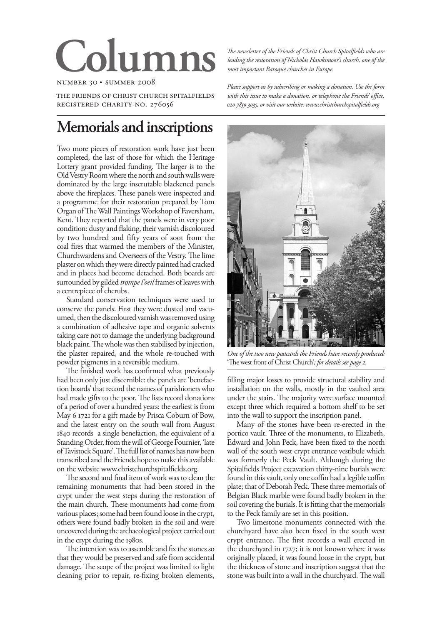# **Colu**

number 30 • summer 2008

the friends of christ church spitalfields registered charity no. 276056

# **Memorials and inscriptions**

Two more pieces of restoration work have just been completed, the last of those for which the Heritage Lottery grant provided funding. The larger is to the Old Vestry Room where the north and south walls were dominated by the large inscrutable blackened panels above the fireplaces. These panels were inspected and a programme for their restoration prepared by Tom Organ of The Wall Paintings Workshop of Faversham, Kent. They reported that the panels were in very poor condition: dusty and flaking, their varnish discoloured by two hundred and fifty years of soot from the coal fires that warmed the members of the Minister, Churchwardens and Overseers of the Vestry. The lime plaster on which they were directly painted had cracked and in places had become detached. Both boards are surrounded by gilded *trompe l'oeil* frames of leaves with a centrepiece of cherubs.

Standard conservation techniques were used to conserve the panels. First they were dusted and vacuumed, then the discoloured varnish was removed using a combination of adhesive tape and organic solvents taking care not to damage the underlying background black paint. The whole was then stabilised by injection, the plaster repaired, and the whole re-touched with powder pigments in a reversible medium.

The finished work has confirmed what previously had been only just discernible: the panels are 'benefaction boards' that record the names of parishioners who had made gifts to the poor. The lists record donations of a period of over a hundred years: the earliest is from May 6 1721 for a gift made by Prisca Coburn of Bow, and the latest entry on the south wall from August 1840 records a single benefaction, the equivalent of a Standing Order, from the will of George Fournier, 'late of Tavistock Square'. The full list of names has now been transcribed and the Friends hope to make this available on the website www.christchurchspitalfields.org.

The second and final item of work was to clean the remaining monuments that had been stored in the crypt under the west steps during the restoration of the main church. These monuments had come from various places; some had been found loose in the crypt, others were found badly broken in the soil and were uncovered during the archaeological project carried out in the crypt during the 1980s.

The intention was to assemble and fix the stones so that they would be preserved and safe from accidental damage. The scope of the project was limited to light cleaning prior to repair, re-fixing broken elements,

*The newsletter of the Friends of Christ Church Spitalfields who are leading the restoration of Nicholas Hawksmoor's church, one of the most important Baroque churches in Europe.*

*Please support us by subscribing or making a donation. Use the form with this issue to make a donation, or telephone the Friends' office, , or visit our website: www.christchurchspitalfields.org*



*One of the two new postcards the Friends have recently produced:*  'The west front of Christ Church'*; for details see page 2.*

filling major losses to provide structural stability and installation on the walls, mostly in the vaulted area under the stairs. The majority were surface mounted except three which required a bottom shelf to be set into the wall to support the inscription panel.

Many of the stones have been re-erected in the portico vault. Three of the monuments, to Elizabeth, Edward and John Peck, have been fixed to the north wall of the south west crypt entrance vestibule which was formerly the Peck Vault. Although during the Spitalfields Project excavation thirty-nine burials were found in this vault, only one coffin had a legible coffin plate; that of Deborah Peck. These three memorials of Belgian Black marble were found badly broken in the soil covering the burials. It is fitting that the memorials to the Peck family are set in this position.

Two limestone monuments connected with the churchyard have also been fixed in the south west crypt entrance. The first records a wall erected in the churchyard in 1727; it is not known where it was originally placed, it was found loose in the crypt, but the thickness of stone and inscription suggest that the stone was built into a wall in the churchyard. The wall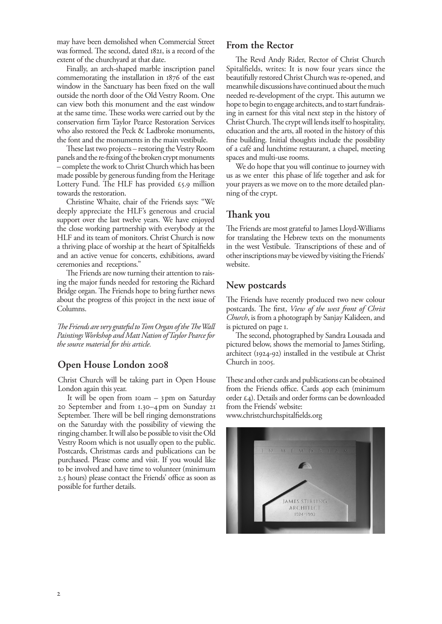may have been demolished when Commercial Street was formed. The second, dated 1821, is a record of the extent of the churchyard at that date.

Finally, an arch-shaped marble inscription panel commemorating the installation in 1876 of the east window in the Sanctuary has been fixed on the wall outside the north door of the Old Vestry Room. One can view both this monument and the east window at the same time. These works were carried out by the conservation firm Taylor Pearce Restoration Services who also restored the Peck & Ladbroke monuments, the font and the monuments in the main vestibule.

These last two projects – restoring the Vestry Room panels and the re-fixing of the broken crypt monuments – complete the work to Christ Church which has been made possible by generous funding from the Heritage Lottery Fund. The HLF has provided  $\epsilon$ 5.9 million towards the restoration.

Christine Whaite, chair of the Friends says: "We deeply appreciate the HLF's generous and crucial support over the last twelve years. We have enjoyed the close working partnership with everybody at the HLF and its team of monitors. Christ Church is now a thriving place of worship at the heart of Spitalfields and an active venue for concerts, exhibitions, award ceremonies and receptions."

The Friends are now turning their attention to raising the major funds needed for restoring the Richard Bridge organ. The Friends hope to bring further news about the progress of this project in the next issue of Columns.

*The Friends are very grateful to Tom Organ of the The Wall Paintings Workshop and Matt Nation of Taylor Pearce for the source material for this article.*

### **Open House London 2008**

Christ Church will be taking part in Open House London again this year.

It will be open from 10am – 3pm on Saturday 20 September and from 1.30–4pm on Sunday 21 September. There will be bell ringing demonstrations on the Saturday with the possibility of viewing the ringing chamber. It will also be possible to visit the Old Vestry Room which is not usually open to the public. Postcards, Christmas cards and publications can be purchased. Please come and visit. If you would like to be involved and have time to volunteer (minimum 2.5 hours) please contact the Friends' office as soon as possible for further details.

# **From the Rector**

The Revd Andy Rider, Rector of Christ Church Spitalfields, writes: It is now four years since the beautifully restored Christ Church was re-opened, and meanwhile discussions have continued about the much needed re-development of the crypt. This autumn we hope to begin to engage architects, and to start fundraising in earnest for this vital next step in the history of Christ Church. The crypt will lends itself to hospitality, education and the arts, all rooted in the history of this fine building. Initial thoughts include the possibility of a café and lunchtime restaurant, a chapel, meeting spaces and multi-use rooms.

We do hope that you will continue to journey with us as we enter this phase of life together and ask for your prayers as we move on to the more detailed planning of the crypt.

# **Thank you**

The Friends are most grateful to James Lloyd-Williams for translating the Hebrew texts on the monuments in the west Vestibule. Transcriptions of these and of other inscriptions may be viewed by visiting the Friends' website.

#### **New postcards**

The Friends have recently produced two new colour postcards. The first, *View of the west front of Christ Church*, is from a photograph by Sanjay Kalideen, and is pictured on page 1.

The second, photographed by Sandra Lousada and pictured below, shows the memorial to James Stirling, architect (1924-92) installed in the vestibule at Christ Church in 2005.

These and other cards and publications can be obtained from the Friends office. Cards 40p each (minimum order £4). Details and order forms can be downloaded from the Friends' website: www.christchurchspitalfields.org

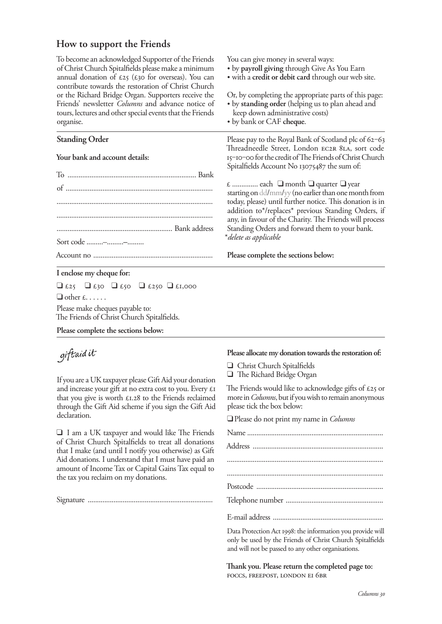## **How to support the Friends**

To become an acknowledged Supporter of the Friends of Christ Church Spitalfields please make a minimum annual donation of  $\epsilon_{25}$  ( $\epsilon_{30}$  for overseas). You can contribute towards the restoration of Christ Church or the Richard Bridge Organ. Supporters receive the Friends' newsletter *Columns* and advance notice of tours, lectures and other special events that the Friends organise.

#### **Standing Order**

#### **Your bank and account details:**

| Sort code -- |  |
|--------------|--|
|              |  |

#### **I enclose my cheque for:**

 $\Box$  £25  $\Box$  £30  $\Box$  £50  $\Box$  £1,000  $\Box$  other  $f_1, \ldots$ . Please make cheques payable to:

The Friends of Christ Church Spitalfields.

**Please complete the sections below:**

# giftaid it

If you are a UK taxpayer please Gift Aid your donation If you are a UK taxpayer please Gift Aid your donation and increase your gift at no extra cost to you. Every £1 that you give is worth  $£1.28$  to the Friends reclaimed through the Gift Aid scheme if you sign the Gift Aid declaration.

Q I am a UK taxpayer and would like The Friends of Christ Church Spitalfields to treat all donations that I make (and until I notify you otherwise) as Gift Aid donations. I understand that I must have paid an amount of Income Tax or Capital Gains Tax equal to the tax you reclaim on my donations.

Signature ....................................................................

You can give money in several ways:

- by **payroll giving** through Give As You Earn
- with a **credit or debit card** through our web site.

Or, by completing the appropriate parts of this page: • by **standing order** (helping us to plan ahead and

- keep down administrative costs)
- by bank or CAF **cheque**.

Please pay to the Royal Bank of Scotland plc of 62-63 Threadneedle Street, London EC2R 8LA, sort code 15-10-00 for the credit of The Friends of Christ Church Spitalfields Account No 13075487 the sum of:

 $\epsilon$  ................ each  $\Box$  month  $\Box$  quarter  $\Box$  year starting on dd/mm/yy (no earlier than one month from today, please) until further notice. This donation is in addition to\*/replaces\* previous Standing Orders, if any, in favour of the Charity. The Friends will process Standing Orders and forward them to your bank. \**delete as applicable*

#### **Please complete the sections below:**

#### **Please allocate my donation towards the restoration of:**

- Q Christ Church Spitalfields
- Q The Richard Bridge Organ

The Friends would like to acknowledge gifts of  $\epsilon$ 25 or more in *Columns*, but if you wish to remain anonymous please tick the box below:

QPlease do not print my name in *Columns*

Data Protection Act 1998: the information you provide will only be used by the Friends of Christ Church Spitalfields and will not be passed to any other organisations.

**Thank you. Please return the completed page to:** FOCCS, FREEPOST, LONDON EI 6BR